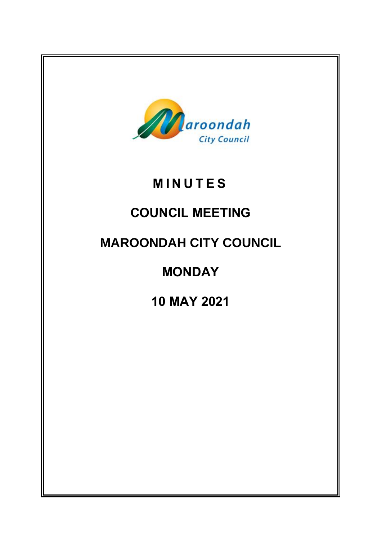

# **M I N U T E S**

## **COUNCIL MEETING**

### **MAROONDAH CITY COUNCIL**

## **MONDAY**

**10 MAY 2021**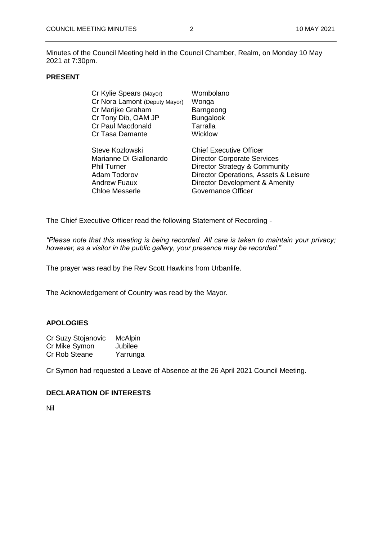Minutes of the Council Meeting held in the Council Chamber, Realm, on Monday 10 May 2021 at 7:30pm.

#### **PRESENT**

| Cr Kylie Spears (Mayor)       | Wombolano                             |
|-------------------------------|---------------------------------------|
| Cr Nora Lamont (Deputy Mayor) | Wonga                                 |
| Cr Marijke Graham             | Barngeong                             |
| Cr Tony Dib, OAM JP           | <b>Bungalook</b>                      |
| Cr Paul Macdonald             | Tarralla                              |
| Cr Tasa Damante               | <b>Wicklow</b>                        |
| Steve Kozlowski               | <b>Chief Executive Officer</b>        |
| Marianne Di Giallonardo       | <b>Director Corporate Services</b>    |
| <b>Phil Turner</b>            | Director Strategy & Community         |
| Adam Todorov                  | Director Operations, Assets & Leisure |
| <b>Andrew Fuaux</b>           | Director Development & Amenity        |
| <b>Chloe Messerle</b>         | Governance Officer                    |

The Chief Executive Officer read the following Statement of Recording -

*"Please note that this meeting is being recorded. All care is taken to maintain your privacy; however, as a visitor in the public gallery, your presence may be recorded."*

The prayer was read by the Rev Scott Hawkins from Urbanlife.

The Acknowledgement of Country was read by the Mayor.

#### **APOLOGIES**

| Cr Suzy Stojanovic | <b>McAlpin</b> |
|--------------------|----------------|
| Cr Mike Symon      | Jubilee        |
| Cr Rob Steane      | Yarrunga       |

Cr Symon had requested a Leave of Absence at the 26 April 2021 Council Meeting.

#### **DECLARATION OF INTERESTS**

Nil